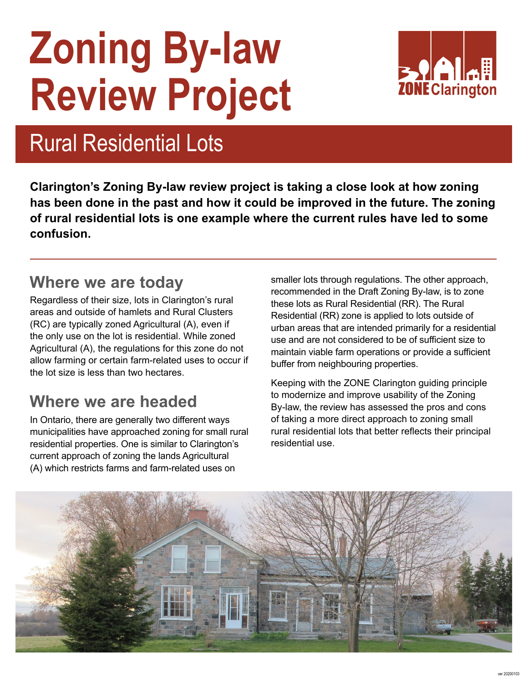# **Zoning By-law Review Project**



### Rural Residential Lots

**Clarington's Zoning By-law review project is taking a close look at how zoning has been done in the past and how it could be improved in the future. The zoning of rural residential lots is one example where the current rules have led to some confusion.** 

#### **Where we are today**

Regardless of their size, lots in Clarington's rural areas and outside of hamlets and Rural Clusters (RC) are typically zoned Agricultural (A), even if the only use on the lot is residential. While zoned Agricultural (A), the regulations for this zone do not allow farming or certain farm-related uses to occur if the lot size is less than two hectares.

### **Where we are headed**

In Ontario, there are generally two different ways municipalities have approached zoning for small rural residential properties. One is similar to Clarington's current approach of zoning the lands Agricultural (A) which restricts farms and farm-related uses on

smaller lots through regulations. The other approach, recommended in the Draft Zoning By-law, is to zone these lots as Rural Residential (RR). The Rural Residential (RR) zone is applied to lots outside of urban areas that are intended primarily for a residential use and are not considered to be of sufficient size to maintain viable farm operations or provide a sufficient buffer from neighbouring properties.

Keeping with the ZONE Clarington guiding principle to modernize and improve usability of the Zoning By-law, the review has assessed the pros and cons of taking a more direct approach to zoning small rural residential lots that better reflects their principal residential use.